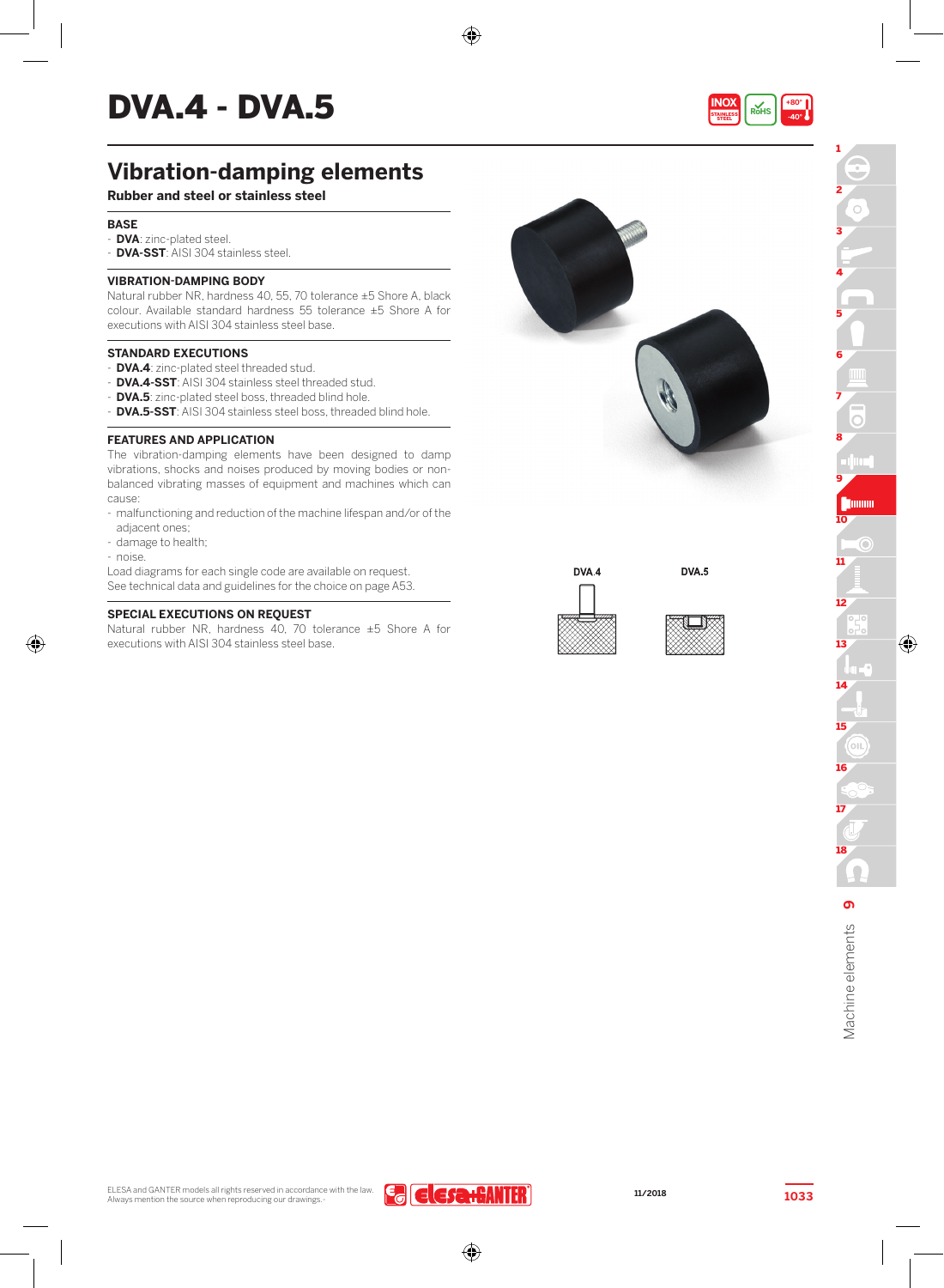# $DVA.A - DVA.5$

## **Vibration-damping elements**

### **Rubber and steel or stainless steel**

#### **BASE**

- **DVA**: zinc-plated steel.
- **DVA-SST**: AISI 304 stainless steel.

#### **VIBRATION-DAMPING BODY**

Natural rubber NR, hardness 40, 55, 70 tolerance ±5 Shore A, black colour. Available standard hardness 55 tolerance ±5 Shore A for executions with AISI 304 stainless steel base.

#### **STANDARD EXECUTIONS**

- **DVA.4**: zinc-plated steel threaded stud.
- **DVA.4-SST**: AISI 304 stainless steel threaded stud.
- **DVA.5**: zinc-plated steel boss, threaded blind hole.
- **DVA.5-SST**: AISI 304 stainless steel boss, threaded blind hole.

#### **FEATURES AND APPLICATION**

The vibration-damping elements have been designed to damp vibrations, shocks and noises produced by moving bodies or nonbalanced vibrating masses of equipment and machines which can cause:

- malfunctioning and reduction of the machine lifespan and/or of the adjacent ones;
- damage to health;
- noise.

Load diagrams for each single code are available on request. See technical data and guidelines for the choice on page A53.

#### **SPECIAL EXECUTIONS ON REQUEST**

Natural rubber NR, hardness 40, 70 tolerance ±5 Shore A for executions with AISI 304 stainless steel base.



DVA.4

⊕





DVA.5

1

STEEL

**INOX RoHS**

**+80° -40°**



⊕

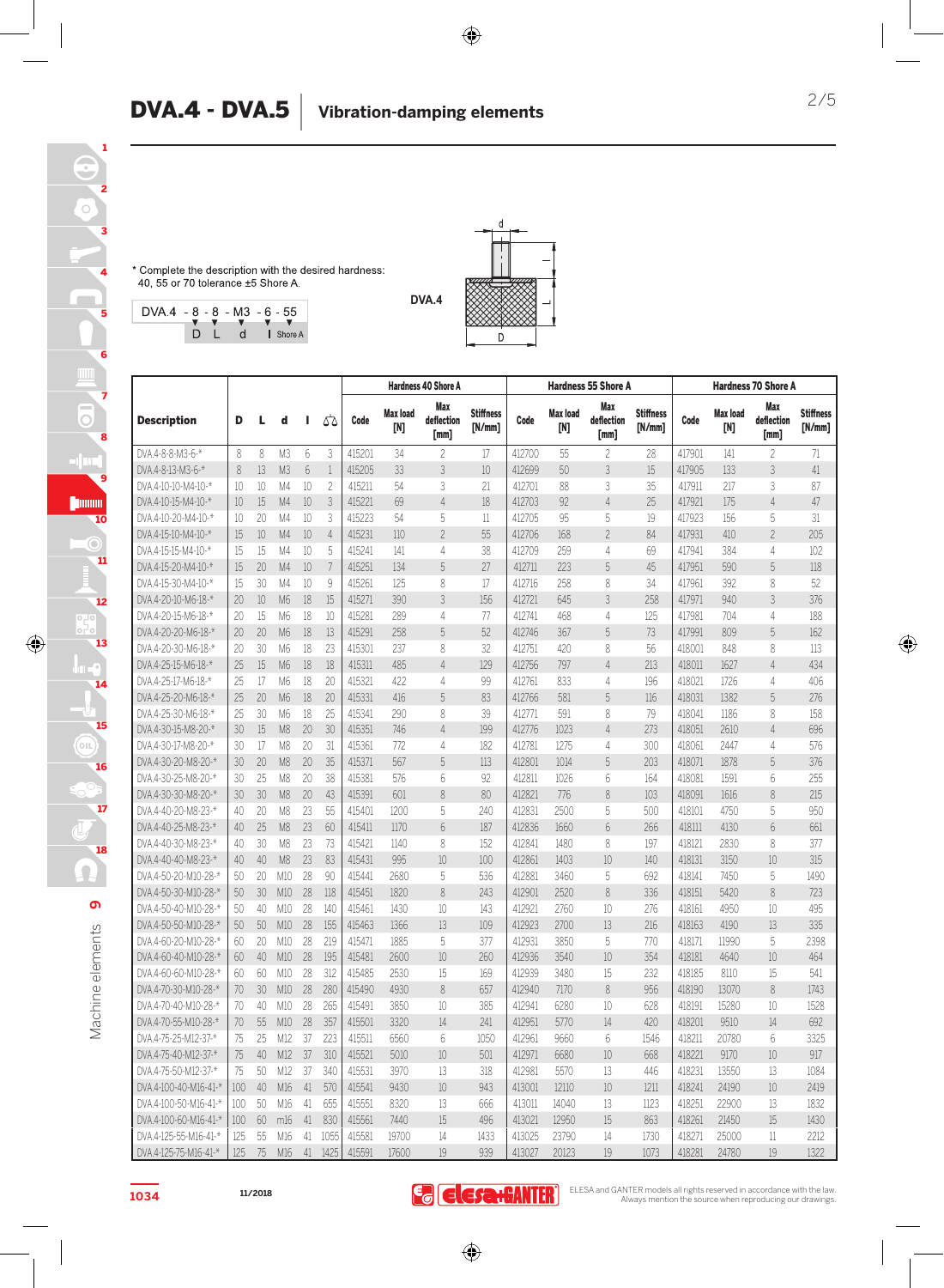**DVA.4**

\* Complete the description with the desired hardness: 40, 55 or 70 tolerance ±5 Shore A





| <b>Description</b>    |     |                 |                 |                 |                          | <b>Hardness 40 Shore A</b> |                 |                           |                            |        | <b>Hardness 55 Shore A</b> |                           |                            |        | <b>Hardness 70 Shore A</b> |                           |                            |  |
|-----------------------|-----|-----------------|-----------------|-----------------|--------------------------|----------------------------|-----------------|---------------------------|----------------------------|--------|----------------------------|---------------------------|----------------------------|--------|----------------------------|---------------------------|----------------------------|--|
|                       | D   | L               | d               | ı               | 55                       | Code                       | Max load<br>[N] | Max<br>deflection<br>[mm] | <b>Stiffness</b><br>[N/mm] | Code   | Max load<br>[N]            | Max<br>deflection<br>[mm] | <b>Stiffness</b><br>[N/mm] | Code   | <b>Max load</b><br>[N]     | Max<br>deflection<br>[mm] | <b>Stiffness</b><br>[N/mm] |  |
| DVA.4-8-8-M3-6-*      | 8   | 8               | M <sub>3</sub>  | $6\overline{6}$ | 3                        | 415201                     | 34              | $\overline{c}$            | 17                         | 412700 | 55                         | $\overline{c}$            | 28                         | 417901 | 141                        | $\overline{c}$            | 71                         |  |
| DVA.4-8-13-M3-6-*     | 8   | 13              | M <sub>3</sub>  | 6               | 1                        | 415205                     | 33              | 3                         | 10                         | 412699 | 50                         | 3                         | 15                         | 417905 | 133                        | 3                         | 41                         |  |
| DVA.4-10-10-M4-10-*   | 10  | 10              | M4              | 10              | $\overline{\phantom{a}}$ | 415211                     | 54              | 3                         | 21                         | 412701 | 88                         | 3                         | 35                         | 417911 | 217                        | 3                         | 87                         |  |
| DVA.4-10-15-M4-10-*   | 10  | 15              | M4              | 10              | 3                        | 415221                     | 69              | $\overline{4}$            | 18                         | 412703 | 92                         | $\overline{4}$            | 25                         | 417921 | 175                        | $\overline{4}$            | 47                         |  |
| DVA.4-10-20-M4-10-*   | 10  | 20              | M4              | 10              | 3                        | 415223                     | 54              | 5                         | 11                         | 412705 | 95                         | 5                         | 19                         | 417923 | 156                        | 5                         | 31                         |  |
| DVA.4-15-10-M4-10-*   | 15  | 10              | M4              | 10              | $\overline{4}$           | 415231                     | 110             | $\overline{c}$            | 55                         | 412706 | 168                        | $\overline{c}$            | 84                         | 417931 | 410                        | $\overline{c}$            | 205                        |  |
| DVA.4-15-15-M4-10-*   | 15  | 15              | M4              | 10              | 5                        | 415241                     | 141             | 4                         | 38                         | 412709 | 259                        | 4                         | 69                         | 417941 | 384                        | 4                         | 102                        |  |
| DVA.4-15-20-M4-10-*   | 15  | 20              | M4              | 10              | 7                        | 415251                     | 134             | 5                         | 27                         | 412711 | 223                        | 5                         | 45                         | 417951 | 590                        | 5                         | 118                        |  |
| DVA.4-15-30-M4-10-*   | 15  | 30              | M4              | 10              | 9                        | 415261                     | 125             | 8                         | 17                         | 412716 | 258                        | 8                         | 34                         | 417961 | 392                        | 8                         | 52                         |  |
| DVA.4-20-10-M6-18-*   | 20  | 10              | M6              | 18              | 15                       | 415271                     | 390             | 3                         | 156                        | 412721 | 645                        | 3                         | 258                        | 417971 | 940                        | 3                         | 376                        |  |
| DVA.4-20-15-M6-18-*   | 20  | 15              | M6              | 18              | 10                       | 415281                     | 289             | 4                         | 77                         | 412741 | 468                        | 4                         | 125                        | 417981 | 704                        | 4                         | 188                        |  |
| DVA.4-20-20-M6-18-*   | 20  | 20              | M6              | 18              | 13                       | 415291                     | 258             | 5                         | 52                         | 412746 | 367                        | 5                         | 73                         | 417991 | 809                        | 5                         | 162                        |  |
| DVA.4-20-30-M6-18-*   | 20  | 30              | M6              | 18              | 23                       | 415301                     | 237             | 8                         | 32                         | 412751 | 420                        | 8                         | 56                         | 418001 | 848                        | 8                         | 113                        |  |
| DVA.4-25-15-M6-18-*   | 25  | 15              | M6              | 18              | 18                       | 415311                     | 485             | $\overline{4}$            | 129                        | 412756 | 797                        | $\overline{4}$            | 213                        | 418011 | 1627                       | 4                         | 434                        |  |
| DVA.4-25-17-M6-18-*   | 25  | 17              | M6              | 18              | 20                       | 415321                     | 422             | 4                         | 99                         | 412761 | 833                        | 4                         | 196                        | 418021 | 1726                       | 4                         | 406                        |  |
| DVA.4-25-20-M6-18-*   | 25  | 20              | M6              | 18              | 20                       | 415331                     | 416             | 5                         | 83                         | 412766 | 581                        | 5                         | 116                        | 418031 | 1382                       | 5                         | 276                        |  |
| DVA.4-25-30-M6-18-*   | 25  | 30              | M6              | 18              | 25                       | 415341                     | 290             | 8                         | 39                         | 412771 | 591                        | 8                         | 79                         | 418041 | 1186                       | 8                         | 158                        |  |
| DVA.4-30-15-M8-20-*   | 30  | 15              | M <sub>8</sub>  | 20              | 30                       | 415351                     | 746             | $\overline{4}$            | 199                        | 412776 | 1023                       | $\overline{4}$            | 273                        | 418051 | 2610                       | $\overline{4}$            | 696                        |  |
| DVA.4-30-17-M8-20-*   | 30  | 17              | M <sub>8</sub>  | 20              | 31                       | 415361                     | 772             | 4                         | 182                        | 412781 | 1275                       | 4                         | 300                        | 418061 | 2447                       | 4                         | 576                        |  |
| DVA.4-30-20-M8-20-*   | 30  | 20              | M <sub>8</sub>  | 20              | 35                       | 415371                     | 567             | 5                         | 113                        | 412801 | 1014                       | 5                         | 203                        | 418071 | 1878                       | 5                         | 376                        |  |
| DVA.4-30-25-M8-20-*   | 30  | 25              | M <sub>8</sub>  | 20              | 38                       | 415381                     | 576             | 6                         | 92                         | 412811 | 1026                       | 6                         | 164                        | 418081 | 1591                       | 6                         | 255                        |  |
| DVA.4-30-30-M8-20-*   | 30  | 30              | M <sub>8</sub>  | 20              | 43                       | 415391                     | 601             | 8                         | 80                         | 412821 | 776                        | 8                         | 103                        | 418091 | 1616                       | 8                         | 215                        |  |
| DVA.4-40-20-M8-23-*   | 40  | 20              | M <sub>8</sub>  | 23              | 55                       | 415401                     | 1200            | 5                         | 240                        | 412831 | 2500                       | 5                         | 500                        | 418101 | 4750                       | 5                         | 950                        |  |
| DVA.4-40-25-M8-23-*   | 40  | 25              | M <sub>8</sub>  | 23              | 60                       | 415411                     | 1170            | 6                         | 187                        | 412836 | 1660                       | 6                         | 266                        | 418111 | 4130                       | 6                         | 661                        |  |
| DVA.4-40-30-M8-23-*   | 40  | 30              | M <sub>8</sub>  | 23              | 73                       | 415421                     | 1140            | 8                         | 152                        | 412841 | 1480                       | 8                         | 197                        | 418121 | 2830                       | 8                         | 377                        |  |
| DVA.4-40-40-M8-23-*   | 40  | 40              | M <sub>8</sub>  | 23              | 83                       | 415431                     | 995             | 10                        | 100                        | 412861 | 1403                       | 10                        | 140                        | 418131 | 3150                       | 10                        | 315                        |  |
| DVA.4-50-20-M10-28-*  | 50  | 20              | M10             | 28              | 90                       | 415441                     | 2680            | 5                         | 536                        | 412881 | 3460                       | 5                         | 692                        | 418141 | 7450                       | 5                         | 1490                       |  |
| DVA.4-50-30-M10-28-*  | 50  | 30 <sup>2</sup> | M10             | 28              | 118                      | 415451                     | 1820            | 8                         | 243                        | 412901 | 2520                       | 8                         | 336                        | 418151 | 5420                       | 8                         | 723                        |  |
| DVA.4-50-40-M10-28-*  | 50  | 40              | M10             | 28              | 140                      | 415461                     | 1430            | 10                        | 143                        | 412921 | 2760                       | 10                        | 276                        | 418161 | 4950                       | 10                        | 495                        |  |
| DVA.4-50-50-M10-28-*  | 50  | 50              | M10             | 28              | 155                      | 415463                     | 1366            | 13                        | 109                        | 412923 | 2700                       | 13                        | 216                        | 418163 | 4190                       | 13                        | 335                        |  |
| DVA.4-60-20-M10-28-*  | 60  | 20              | M10             | 28              | 219                      | 415471                     | 1885            | 5                         | 377                        | 412931 | 3850                       | 5                         | 770                        | 418171 | 11990                      | 5                         | 2398                       |  |
| DVA.4-60-40-M10-28-*  | 60  | 40              | M10             | 28              | 195                      | 415481                     | 2600            | 10                        | 260                        | 412936 | 3540                       | 10                        | 354                        | 418181 | 4640                       | 10                        | 464                        |  |
|                       |     |                 |                 | 28              | 312                      | 415485                     | 2530            | 15                        | 169                        |        | 3480                       |                           | 232                        |        | 8110                       |                           | 541                        |  |
| DVA.4-60-60-M10-28-*  | 60  | 60              | M10             |                 |                          |                            |                 | 8                         |                            | 412939 |                            | 15<br>8                   | 956                        | 418185 |                            | 15<br>8                   |                            |  |
| DVA.4-70-30-M10-28-*  | 70  | 30              | M10             | 28              | 280<br>265               | 415490                     | 4930            | 10                        | 657                        | 412940 | 7170                       |                           |                            | 418190 | 13070                      |                           | 1743                       |  |
| DVA.4-70-40-M10-28-*  | 70  | 40              | M10             | 28              |                          | 415491                     | 3850            |                           | 385                        | 412941 | 6280                       | 10                        | 628                        | 418191 | 15280                      | 10                        | 1528                       |  |
| DVA.4-70-55-M10-28-*  | 70  | 55              | M10             | 28              | 357                      | 415501                     | 3320            | 14                        | 241                        | 412951 | 5770                       | 14                        | 420                        | 418201 | 9510                       | 14                        | 692                        |  |
| DVA.4-75-25-M12-37-*  | 75  | 25              | M12             | 37              | 223                      | 415511                     | 6560            | 6                         | 1050                       | 412961 | 9660                       | 6                         | 1546                       | 418211 | 20780                      | 6                         | 3325                       |  |
| DVA.4-75-40-M12-37-*  | 75  | 40              | M12             | 37              | 310                      | 415521                     | 5010            | 10                        | 501                        | 412971 | 6680                       | 10                        | 668                        | 418221 | 9170                       | 10                        | 917                        |  |
| DVA.4-75-50-M12-37-*  | 75  | 50              | M12             | 37              | 340                      | 415531                     | 3970            | 13                        | 318                        | 412981 | 5570                       | 13                        | 446                        | 418231 | 13550                      | 13                        | 1084                       |  |
| DVA.4-100-40-M16-41-  | 100 | 40              | M <sub>16</sub> | 41              | 570                      | 415541                     | 9430            | 10                        | 943                        | 413001 | 12110                      | 10                        | 1211                       | 418241 | 24190                      | 10                        | 2419                       |  |
| DVA.4-100-50-M16-41-* | 100 | 50              | M16             | 41              | 655                      | 415551                     | 8320            | 13                        | 666                        | 413011 | 14040                      | 13                        | 1123                       | 418251 | 22900                      | 13                        | 1832                       |  |
| DVA.4-100-60-M16-41-* | 100 | 60              | m16             | 41              | 830                      | 415561                     | 7440            | 15                        | 496                        | 413021 | 12950                      | 15                        | 863                        | 418261 | 21450                      | 15                        | 1430                       |  |
| DVA.4-125-55-M16-41-* | 125 | 55              | M16             | 41              | 1055                     | 415581                     | 19700           | 14                        | 1433                       | 413025 | 23790                      | 14                        | 1730                       | 418271 | 25000                      | $\mathbf{1}$              | 2212                       |  |
| DVA.4-125-75-M16-41-* | 125 | 75              | M16             | 41              | 1425                     | 415591                     | 17600           | 19                        | 939                        | 413027 | 20123                      | 19                        | 1073                       | 418281 | 24780                      | 19                        | 1322                       |  |

**11/2018**

**E desa:GANTER** 

 $\bigoplus$ 

ELESA and GANTER models all rights reserved in accordance with the law. Always mention the source when reproducing our drawings.

◈

 $\bigcirc$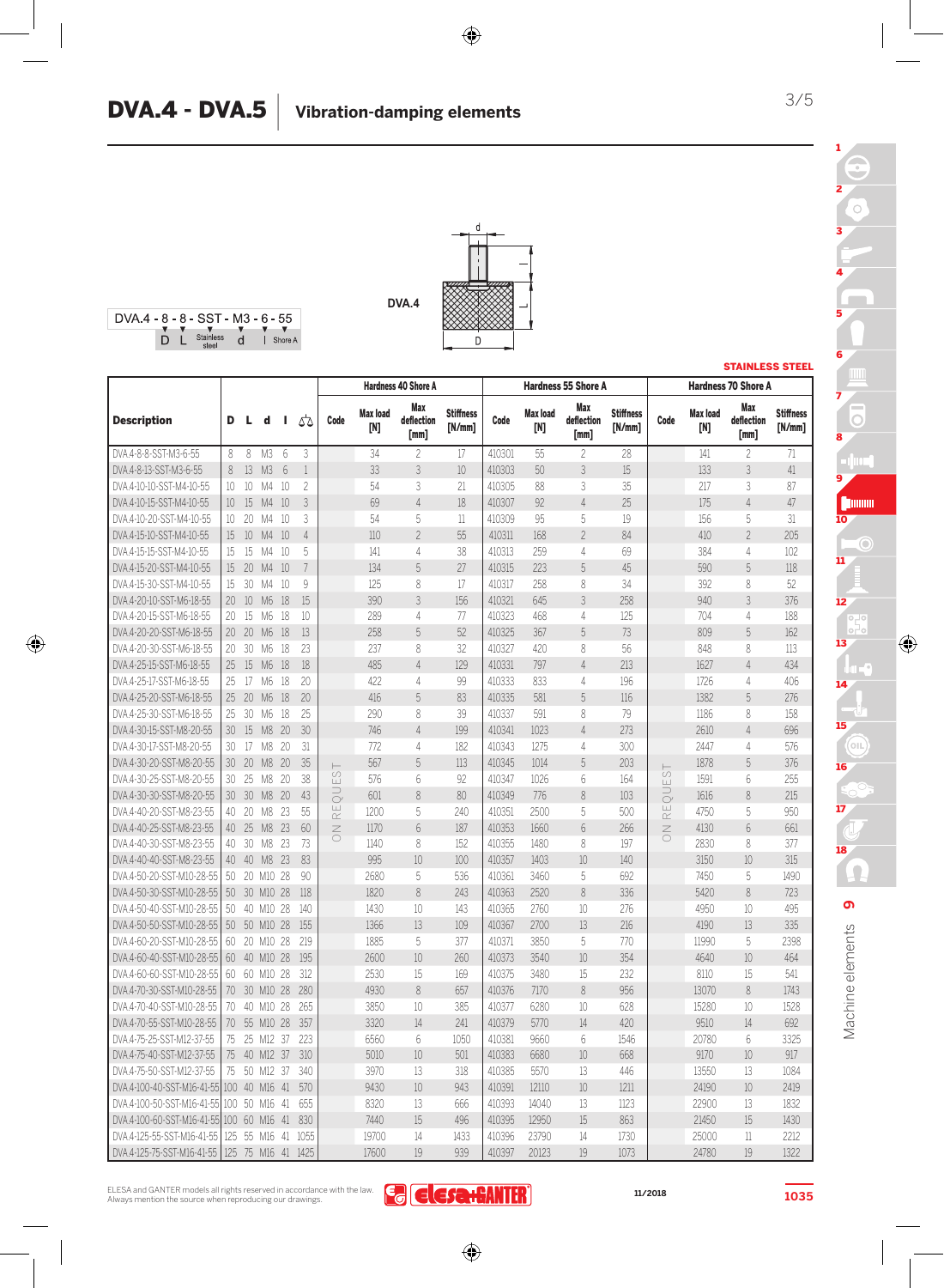



◈



|                            |                 |    |                |                 |                | <b>Hardness 40 Shore A</b><br><b>Hardness 55 Shore A</b> |                        |                           |                            |        |                        |                           | <b>STAINLESS STEEL</b>     |                            |                        |                            |                          |
|----------------------------|-----------------|----|----------------|-----------------|----------------|----------------------------------------------------------|------------------------|---------------------------|----------------------------|--------|------------------------|---------------------------|----------------------------|----------------------------|------------------------|----------------------------|--------------------------|
|                            |                 |    |                |                 |                |                                                          |                        |                           |                            |        |                        |                           |                            |                            |                        | <b>Hardness 70 Shore A</b> |                          |
| <b>Description</b>         | D               | L  | d              | J.              | 55             | Code                                                     | <b>Max load</b><br>[N] | Max<br>deflection<br>[mm] | <b>Stiffness</b><br>[N/mm] | Code   | <b>Max load</b><br>[N] | Max<br>deflection<br>[mm] | <b>Stiffness</b><br>[N/mm] | Code                       | <b>Max load</b><br>[N] | Max<br>deflection<br>[mm]  | <b>Stiffness</b><br>N/mm |
| DVA.4-8-8-SST-M3-6-55      | 8               | 8  | M3             | $6\overline{6}$ | 3              |                                                          | 34                     | $\overline{c}$            | 17                         | 410301 | 55                     | $\overline{c}$            | 28                         |                            | 141                    | $\overline{c}$             | 71                       |
| DVA.4-8-13-SST-M3-6-55     | 8               | 13 | M3             | $6\overline{6}$ | $1\,$          |                                                          | 33                     | 3                         | 10                         | 410303 | 50                     | 3                         | 15                         |                            | 133                    | 3                          | 41                       |
| DVA.4-10-10-SST-M4-10-55   | 10              | 10 | M4             | 10              | $\overline{c}$ |                                                          | 54                     | 3                         | 21                         | 410305 | 88                     | 3                         | 35                         |                            | 217                    | 3                          | 87                       |
| DVA.4-10-15-SST-M4-10-55   | 10              | 15 | M4             | 10              | 3              |                                                          | 69                     | $\overline{4}$            | 18                         | 410307 | 92                     | $\overline{4}$            | 25                         |                            | 175                    | $\overline{4}$             | 47                       |
| DVA.4-10-20-SST-M4-10-55   | 10 <sup>°</sup> | 20 | M4             | 10              | 3              |                                                          | 54                     | 5                         | 11                         | 410309 | 95                     | 5                         | 19                         |                            | 156                    | 5                          | 31                       |
| DVA.4-15-10-SST-M4-10-55   | 15              | 10 | M4             | 10              | $\overline{4}$ |                                                          | 110                    | $\overline{\mathcal{L}}$  | 55                         | 410311 | 168                    | $\overline{c}$            | 84                         |                            | 410                    | $\overline{c}$             | 205                      |
| DVA.4-15-15-SST-M4-10-55   | 15              | 15 | M4             | 10              | 5              |                                                          | 141                    | 4                         | 38                         | 410313 | 259                    | 4                         | 69                         |                            | 384                    | 4                          | 102                      |
| DVA.4-15-20-SST-M4-10-55   | 15              | 20 | M4             | 10              | 7              |                                                          | 134                    | 5                         | 27                         | 410315 | 223                    | 5                         | 45                         |                            | 590                    | 5                          | 118                      |
| DVA.4-15-30-SST-M4-10-55   | 15              | 30 | M4             | 10              | 9              |                                                          | 125                    | 8                         | 17                         | 410317 | 258                    | 8                         | 34                         |                            | 392                    | 8                          | 52                       |
| DVA.4-20-10-SST-M6-18-55   | 20              | 10 | M <sub>6</sub> | 18              | 15             |                                                          | 390                    | 3                         | 156                        | 410321 | 645                    | 3                         | 258                        |                            | 940                    | 3                          | 376                      |
| DVA.4-20-15-SST-M6-18-55   | 20              | 15 | M6             | 18              | 10             |                                                          | 289                    | 4                         | 77                         | 410323 | 468                    | 4                         | 125                        |                            | 704                    | 4                          | 188                      |
| DVA.4-20-20-SST-M6-18-55   | 20              | 20 | M6             | 18              | 13             |                                                          | 258                    | 5                         | 52                         | 410325 | 367                    | $\overline{5}$            | 73                         |                            | 809                    | 5                          | 162                      |
| DVA.4-20-30-SST-M6-18-55   | 20              | 30 | M <sub>6</sub> | 18              | 23             |                                                          | 237                    | 8                         | 32                         | 410327 | 420                    | 8                         | 56                         |                            | 848                    | 8                          | 113                      |
| DVA.4-25-15-SST-M6-18-55   | 25              | 15 | M6             | 18              | 18             |                                                          | 485                    | $\overline{4}$            | 129                        | 410331 | 797                    | $\overline{4}$            | 213                        |                            | 1627                   | $\overline{4}$             | 434                      |
| DVA.4-25-17-SST-M6-18-55   | 25              | 17 | M <sub>6</sub> | 18              | 20             |                                                          | 422                    | 4                         | 99                         | 410333 | 833                    | 4                         | 196                        |                            | 1726                   | 4                          | 406                      |
| DVA.4-25-20-SST-M6-18-55   | 25              | 20 | M6             | 18              | 20             |                                                          | 416                    | 5                         | 83                         | 410335 | 581                    | 5                         | 116                        |                            | 1382                   | 5                          | 276                      |
| DVA.4-25-30-SST-M6-18-55   | 25              | 30 | M <sub>6</sub> | 18              | 25             |                                                          | 290                    | 8                         | 39                         | 410337 | 591                    | 8                         | 79                         |                            | 1186                   | 8                          | 158                      |
| DVA.4-30-15-SST-M8-20-55   | 30              | 15 | M <sub>8</sub> | 20              | 30             |                                                          | 746                    | $\overline{4}$            | 199                        | 410341 | 1023                   | $\overline{4}$            | 273                        |                            | 2610                   | $\overline{4}$             | 696                      |
| DVA.4-30-17-SST-M8-20-55   | 30              | 17 | M <sub>8</sub> | 20              | 31             |                                                          | 772                    | 4                         | 182                        | 410343 | 1275                   | $\overline{4}$            | 300                        |                            | 2447                   | 4                          | 576                      |
| DVA.4-30-20-SST-M8-20-55   | 30              | 20 | M <sub>8</sub> | 20              | 35             |                                                          | 567                    | 5                         | 113                        | 410345 | 1014                   | 5                         | 203                        |                            | 1878                   | 5                          | 376                      |
| DVA.4-30-25-SST-M8-20-55   | 30              | 25 | M <sub>8</sub> | 20              | 38             | $\overline{5}$<br>Ш                                      | 576                    | 6                         | 92                         | 410347 | 1026                   | 6                         | 164                        | $\frac{1}{\infty}$<br>Ш    | 1591                   | 6                          | 255                      |
| DVA.4-30-30-SST-M8-20-55   | 30              | 30 | M <sub>8</sub> | 20              | 43             | ⊃<br>$\circlearrowright$                                 | 601                    | 8                         | 80                         | 410349 | 776                    | 8                         | 103                        | $\supset$<br>$\bar{\circ}$ | 1616                   | 8                          | 215                      |
| DVA.4-40-20-SST-M8-23-55   | 40              | 20 | M <sub>8</sub> | 23              | 55             | $\sqcup$<br>$\simeq$                                     | 1200                   | 5                         | 240                        | 410351 | 2500                   | 5                         | 500                        | RE                         | 4750                   | 5                          | 950                      |
| DVA.4-40-25-SST-M8-23-55   | 40              | 25 | M <sub>8</sub> | 23              | 60             | $\leq$                                                   | 1170                   | 6                         | 187                        | 410353 | 1660                   | $6\,$                     | 266                        | $\leq$                     | 4130                   | 6                          | 661                      |
| DVA.4-40-30-SST-M8-23-55   | 40              | 30 | M <sub>8</sub> | 23              | 73             |                                                          | 1140                   | 8                         | 152                        | 410355 | 1480                   | 8                         | 197                        |                            | 2830                   | 8                          | 377                      |
| DVA.4-40-40-SST-M8-23-55   | 40              | 40 | M <sub>8</sub> | 23              | 83             |                                                          | 995                    | 10                        | 100                        | 410357 | 1403                   | 10                        | 140                        |                            | 3150                   | 10                         | 315                      |
| DVA.4-50-20-SST-M10-28-55  | 50              |    | 20 M10         | 28              | 90             |                                                          | 2680                   | 5                         | 536                        | 410361 | 3460                   | 5                         | 692                        |                            | 7450                   | 5                          | 1490                     |
| DVA.4-50-30-SST-M10-28-55  | 50              |    | 30 M10 28      |                 | 118            |                                                          | 1820                   | 8                         | 243                        | 410363 | 2520                   | 8                         | 336                        |                            | 5420                   | $\,8\,$                    | 723                      |
| DVA.4-50-40-SST-M10-28-55  | 50              | 40 | M10            | 28              | 140            |                                                          | 1430                   | 10                        | 143                        | 410365 | 2760                   | 10                        | 276                        |                            | 4950                   | 10                         | 495                      |
| DVA.4-50-50-SST-M10-28-55  | 50              |    | 50 M10 28      |                 | 155            |                                                          | 1366                   | 13                        | 109                        | 410367 | 2700                   | 13                        | 216                        |                            | 4190                   | 13                         | 335                      |
| DVA.4-60-20-SST-M10-28-55  | 60              |    | 20 M10         | 28              | 219            |                                                          | 1885                   | 5                         | 377                        | 410371 | 3850                   | 5                         | 770                        |                            | 11990                  | 5                          | 2398                     |
| DVA.4-60-40-SST-M10-28-55  | 60              |    | 40 M10 28      |                 | 195            |                                                          | 2600                   | 10                        | 260                        | 410373 | 3540                   | 10                        | 354                        |                            | 4640                   | 10                         | 464                      |
| DVA.4-60-60-SST-M10-28-55  | 60              |    | 60 M10         | 28              | 312            |                                                          | 2530                   | 15                        | 169                        | 410375 | 3480                   | 15                        | 232                        |                            | 8110                   | 15                         | 541                      |
| DVA.4-70-30-SST-M10-28-55  | 70              |    | 30 M10 28      |                 | 280            |                                                          | 4930                   | 8                         | 657                        | 410376 | 7170                   | 8                         | 956                        |                            | 13070                  | $\,8\,$                    | 1743                     |
| DVA.4-70-40-SST-M10-28-55  | 70              |    | 40 M10         | 28              | 265            |                                                          | 3850                   | 10                        | 385                        | 410377 | 6280                   | 10                        | 628                        |                            | 15280                  | 10                         | 1528                     |
| DVA.4-70-55-SST-M10-28-55  | 70              |    | 55 M10 28      |                 | 357            |                                                          | 3320                   | 14                        | 241                        | 410379 | 5770                   | 14                        | 420                        |                            | 9510                   | 14                         | 692                      |
| DVA.4-75-25-SST-M12-37-55  | 75              |    | 25 M12         | -37             | 223            |                                                          | 6560                   | 6                         | 1050                       | 410381 | 9660                   | 6                         | 1546                       |                            | 20780                  | 6                          | 3325                     |
| DVA.4-75-40-SST-M12-37-55  | 75              | 40 | M12 37         |                 | 310            |                                                          | 5010                   | 10 <sup>10</sup>          | 501                        | 410383 | 6680                   | 10                        | 668                        |                            | 9170                   | 10                         | 917                      |
| DVA.4-75-50-SST-M12-37-55  | 75              | 50 | M12            | -37             | 340            |                                                          | 3970                   | 13                        | 318                        | 410385 | 5570                   | 13                        | 446                        |                            | 13550                  | 13                         | 1084                     |
| DVA.4-100-40-SST-M16-41-55 | 100             | 40 | M16 41         |                 | 570            |                                                          | 9430                   | 10                        | 943                        | 410391 | 12110                  | 10                        | 1211                       |                            | 24190                  | 10                         | 2419                     |
| DVA.4-100-50-SST-M16-41-55 | 100             | 50 | M16            | 41              | 655            |                                                          | 8320                   | 13                        | 666                        | 410393 | 14040                  | 13                        | 1123                       |                            | 22900                  | 13                         | 1832                     |
| DVA.4-100-60-SST-M16-41-55 | 100             | 60 | M16 41         |                 | 830            |                                                          | 7440                   | 15                        | 496                        | 410395 | 12950                  | 15                        | 863                        |                            | 21450                  | 15                         | 1430                     |
| DVA.4-125-55-SST-M16-41-55 | 125             |    | 55 M16         | 41              | 1055           |                                                          | 19700                  | 14                        | 1433                       | 410396 | 23790                  | 14                        | 1730                       |                            | 25000                  | 11                         | 2212                     |
| DVA.4-125-75-SST-M16-41-55 | 125             | 75 | M16 41         |                 | 1425           |                                                          | 17600                  | 19                        | 939                        | 410397 | 20123                  | 19                        | 1073                       |                            | 24780                  | 19                         | 1322                     |

ELESA and GANTER models all rights reserved in accordance with the law. Always mention the source when reproducing our drawings.

**11/2018**

**1035**

3/5

3

2

 $\frac{1}{\sqrt{2}}$ 

1

 $\bigoplus$ 

**Ed Elesa+GANTER**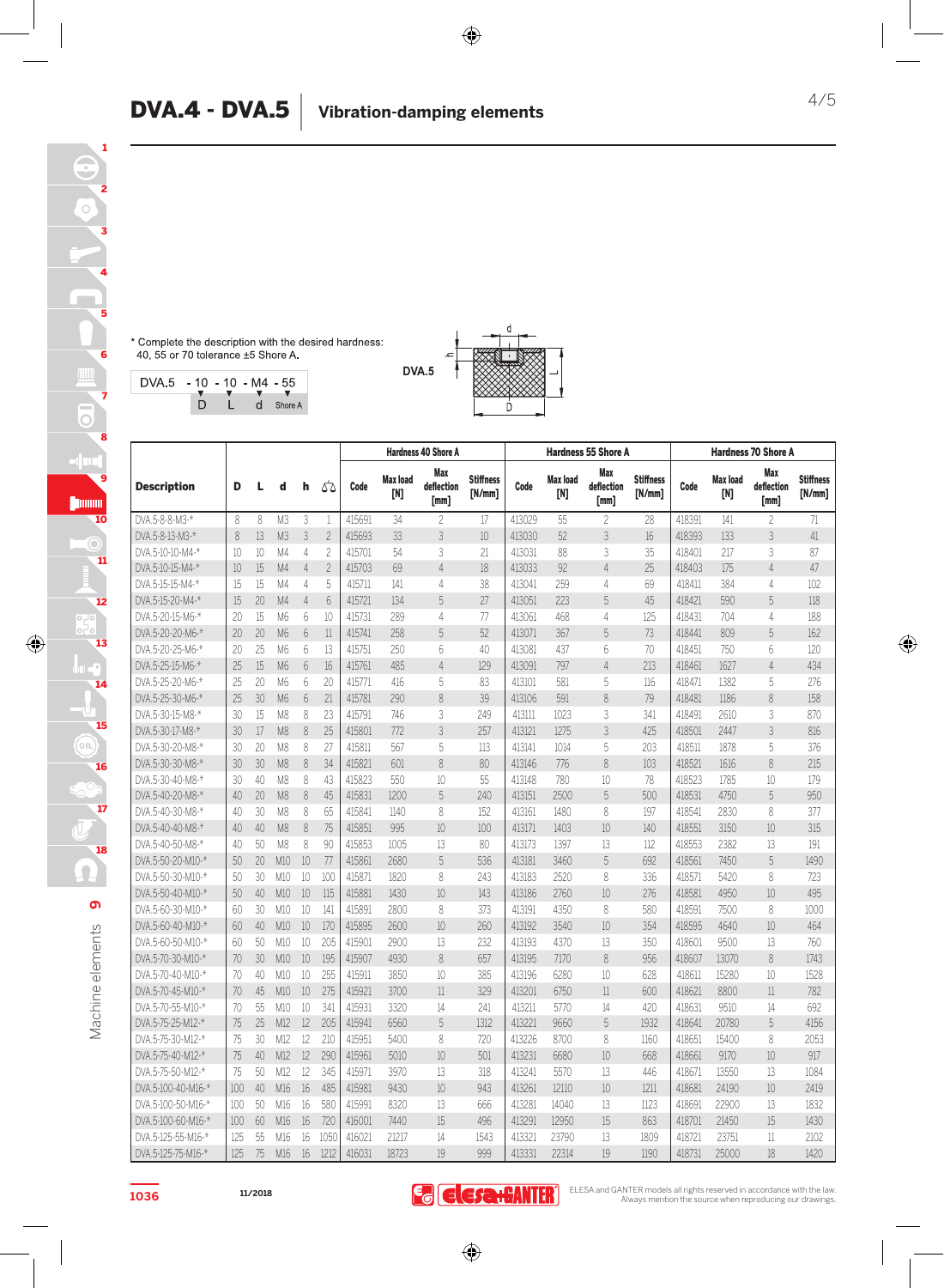\* Complete the description with the desired hardness:<br>40, 55 or 70 tolerance ±5 Shore A.

| $DVA 5 - 10 - 10 - M4 - 55$ |   |                                        |           |
|-----------------------------|---|----------------------------------------|-----------|
|                             | D | $\mathbf{v}$ $\mathbf{v}$ $\mathbf{v}$ | d Shore A |



|                    |     |    |                |                 |                          | <b>Hardness 40 Shore A</b> |                        |                           |                            |        |                        | <b>Hardness 55 Shore A</b> |                            | <b>Hardness 70 Shore A</b> |                        |                           |                            |
|--------------------|-----|----|----------------|-----------------|--------------------------|----------------------------|------------------------|---------------------------|----------------------------|--------|------------------------|----------------------------|----------------------------|----------------------------|------------------------|---------------------------|----------------------------|
| <b>Description</b> | D   | L  | d              | h               | ۵۵                       | Code                       | <b>Max load</b><br>[N] | Max<br>deflection<br>[mm] | <b>Stiffness</b><br>[N/mm] | Code   | <b>Max load</b><br>[N] | Max<br>deflection<br>[mm]  | <b>Stiffness</b><br>[N/mm] | Code                       | <b>Max load</b><br>[N] | Max<br>deflection<br>[mm] | <b>Stiffness</b><br>[N/mm] |
| DVA.5-8-8-M3-*     | 8   | 8  | M3             | 3               |                          | 415691                     | 34                     | $\overline{c}$            | 17                         | 413029 | 55                     | $\overline{c}$             | 28                         | 418391                     | 141                    | $\overline{c}$            | 71                         |
| DVA.5-8-13-M3-*    | 8   | 13 | M <sub>3</sub> | 3               | $\overline{\phantom{a}}$ | 415693                     | 33                     | 3                         | 10                         | 413030 | 52                     | 3                          | 16                         | 418393                     | 133                    | 3                         | 41                         |
| DVA.5-10-10-M4-*   | 10  | 10 | M4             | $\overline{4}$  | 2                        | 415701                     | 54                     | 3                         | 21                         | 413031 | 88                     | 3                          | 35                         | 418401                     | 217                    | 3                         | 87                         |
| DVA.5-10-15-M4-*   | 10  | 15 | M4             | $\overline{4}$  | $\overline{\phantom{a}}$ | 415703                     | 69                     | $\overline{4}$            | 18                         | 413033 | 92                     | $\overline{4}$             | 25                         | 418403                     | 175                    | $\overline{4}$            | 47                         |
| DVA.5-15-15-M4-*   | 15  | 15 | M4             | 4               | 5                        | 415711                     | 141                    | 4                         | 38                         | 413041 | 259                    | 4                          | 69                         | 418411                     | 384                    | 4                         | 102                        |
| DVA.5-15-20-M4-*   | 15  | 20 | M4             | $\overline{4}$  | 6                        | 415721                     | 134                    | 5                         | 27                         | 413051 | 223                    | 5                          | 45                         | 418421                     | 590                    | 5                         | 118                        |
| DVA.5-20-15-M6-*   | 20  | 15 | M6             | 6               | 10                       | 415731                     | 289                    | 4                         | 77                         | 413061 | 468                    | 4                          | 125                        | 418431                     | 704                    | 4                         | 188                        |
| DVA.5-20-20-M6-*   | 20  | 20 | M6             | $6\overline{6}$ | 11                       | 415741                     | 258                    | 5                         | 52                         | 413071 | 367                    | 5                          | 73                         | 418441                     | 809                    | 5                         | 162                        |
| DVA.5-20-25-M6-*   | 20  | 25 | M <sub>6</sub> | 6               | 13                       | 415751                     | 250                    | 6                         | 40                         | 413081 | 437                    | 6                          | 70                         | 418451                     | 750                    | 6                         | 120                        |
| DVA.5-25-15-M6-*   | 25  | 15 | M6             | 6               | 16                       | 415761                     | 485                    | $\overline{4}$            | 129                        | 413091 | 797                    | $\overline{4}$             | 213                        | 418461                     | 1627                   | $\overline{4}$            | 434                        |
| DVA.5-25-20-M6-*   | 25  | 20 | M6             | 6               | 20                       | 415771                     | 416                    | 5                         | 83                         | 413101 | 581                    | 5                          | 116                        | 418471                     | 1382                   | 5                         | 276                        |
| DVA.5-25-30-M6-*   | 25  | 30 | M <sub>6</sub> | 6               | 21                       | 415781                     | 290                    | 8                         | 39                         | 413106 | 591                    | 8                          | 79                         | 418481                     | 1186                   | 8                         | 158                        |
| DVA.5-30-15-M8-*   | 30  | 15 | M <sub>8</sub> | 8               | 23                       | 415791                     | 746                    | 3                         | 249                        | 413111 | 1023                   | 3                          | 341                        | 418491                     | 2610                   | 3                         | 870                        |
| DVA.5-30-17-M8-*   | 30  | 17 | M <sub>8</sub> | 8               | 25                       | 415801                     | 772                    | 3                         | 257                        | 413121 | 1275                   | $\overline{3}$             | 425                        | 418501                     | 2447                   | 3                         | 816                        |
| DVA.5-30-20-M8-*   | 30  | 20 | M <sub>8</sub> | 8               | 27                       | 415811                     | 567                    | 5                         | 113                        | 413141 | 1014                   | 5                          | 203                        | 418511                     | 1878                   | 5                         | 376                        |
| DVA.5-30-30-M8-*   | 30  | 30 | M <sub>8</sub> | 8               | 34                       | 415821                     | 601                    | 8                         | 80                         | 413146 | 776                    | 8                          | 103                        | 418521                     | 1616                   | 8                         | 215                        |
| DVA.5-30-40-M8-*   | 30  | 40 | M <sub>8</sub> | 8               | 43                       | 415823                     | 550                    | 10                        | 55                         | 413148 | 780                    | 10                         | 78                         | 418523                     | 1785                   | 10                        | 179                        |
| DVA.5-40-20-M8-*   | 40  | 20 | M <sub>8</sub> | 8               | 45                       | 415831                     | 1200                   | 5                         | 240                        | 413151 | 2500                   | 5                          | 500                        | 418531                     | 4750                   | 5                         | 950                        |
| DVA.5-40-30-M8-*   | 40  | 30 | M <sub>8</sub> | 8               | 65                       | 415841                     | 1140                   | 8                         | 152                        | 413161 | 1480                   | 8                          | 197                        | 418541                     | 2830                   | 8                         | 377                        |
| DVA.5-40-40-M8-*   | 40  | 40 | M <sub>8</sub> | 8               | 75                       | 415851                     | 995                    | 10                        | 100                        | 413171 | 1403                   | 10                         | 140                        | 418551                     | 3150                   | 10                        | 315                        |
| DVA.5-40-50-M8-*   | 40  | 50 | M <sub>8</sub> | 8               | 90                       | 415853                     | 1005                   | 13                        | 80                         | 413173 | 1397                   | 13                         | 112                        | 418553                     | 2382                   | 13                        | 191                        |
| DVA.5-50-20-M10-*  | 50  | 20 | M10            | 10              | 77                       | 415861                     | 2680                   | 5                         | 536                        | 413181 | 3460                   | 5                          | 692                        | 418561                     | 7450                   | 5                         | 1490                       |
| DVA.5-50-30-M10-*  | 50  | 30 | M10            | 10              | 100                      | 415871                     | 1820                   | 8                         | 243                        | 413183 | 2520                   | 8                          | 336                        | 418571                     | 5420                   | 8                         | 723                        |
| DVA.5-50-40-M10-*  | 50  | 40 | M10            | 10              | 115                      | 415881                     | 1430                   | 10                        | 143                        | 413186 | 2760                   | 10                         | 276                        | 418581                     | 4950                   | 10                        | 495                        |
| DVA.5-60-30-M10-*  | 60  | 30 | M10            | 10              | 141                      | 415891                     | 2800                   | 8                         | 373                        | 413191 | 4350                   | 8                          | 580                        | 418591                     | 7500                   | 8                         | 1000                       |
| DVA.5-60-40-M10-*  | 60  | 40 | M10            | 10              | 170                      | 415895                     | 2600                   | 10                        | 260                        | 413192 | 3540                   | 10                         | 354                        | 418595                     | 4640                   | 10                        | 464                        |
| DVA.5-60-50-M10-*  | 60  | 50 | M10            | 10              | 205                      | 415901                     | 2900                   | 13                        | 232                        | 413193 | 4370                   | 13                         | 350                        | 418601                     | 9500                   | 13                        | 760                        |
| DVA.5-70-30-M10-*  | 70  | 30 | M10            | 10              | 195                      | 415907                     | 4930                   | 8                         | 657                        | 413195 | 7170                   | 8                          | 956                        | 418607                     | 13070                  | 8                         | 1743                       |
| DVA.5-70-40-M10-*  | 70  | 40 | M10            | 10              | 255                      | 415911                     | 3850                   | 10                        | 385                        | 413196 | 6280                   | 10                         | 628                        | 418611                     | 15280                  | 10                        | 1528                       |
| DVA.5-70-45-M10-*  | 70  | 45 | M10            | 10              | 275                      | 415921                     | 3700                   | 11                        | 329                        | 413201 | 6750                   | 11                         | 600                        | 418621                     | 8800                   | 11                        | 782                        |
| DVA.5-70-55-M10-*  | 70  | 55 | M10            | 10              | 341                      | 415931                     | 3320                   | 14                        | 241                        | 413211 | 5770                   | 14                         | 420                        | 418631                     | 9510                   | 14                        | 692                        |
| DVA.5-75-25-M12-*  | 75  | 25 | M12            | 12              | 205                      | 415941                     | 6560                   | 5                         | 1312                       | 413221 | 9660                   | 5                          | 1932                       | 418641                     | 20780                  | 5                         | 4156                       |
| DVA.5-75-30-M12-*  | 75  | 30 | M12            | 12              | 210                      | 415951                     | 5400                   | 8                         | 720                        | 413226 | 8700                   | 8                          | 1160                       | 418651                     | 15400                  | 8                         | 2053                       |
| DVA.5-75-40-M12-*  | 75  | 40 | M12            | 12              | 290                      | 415961                     | 5010                   | 10                        | 501                        | 413231 | 6680                   | 10                         | 668                        | 418661                     | 9170                   | 10                        | 917                        |
| DVA.5-75-50-M12-*  | 75  | 50 | M12            | 12              | 345                      | 415971                     | 3970                   | 13                        | 318                        | 413241 | 5570                   | 13                         | 446                        | 418671                     | 13550                  | 13                        | 1084                       |
| DVA.5-100-40-M16-* | 100 | 40 | M16            | 16              | 485                      | 415981                     | 9430                   | 10 <sup>10</sup>          | 943                        | 413261 | 12110                  | 10                         | 1211                       | 418681                     | 24190                  | 10                        | 2419                       |
| DVA.5-100-50-M16-* | 100 | 50 | M16            | 16              | 580                      | 415991                     | 8320                   | 13                        | 666                        | 413281 | 14040                  | 13                         | 1123                       | 418691                     | 22900                  | 13                        | 1832                       |
| DVA.5-100-60-M16-* | 100 | 60 | M16            | 16              | 720                      | 416001                     | 7440                   | 15                        | 496                        | 413291 | 12950                  | 15                         | 863                        | 418701                     | 21450                  | 15                        | 1430                       |
| DVA.5-125-55-M16-* | 125 | 55 | M16            | 16              | 1050                     | 416021                     | 21217                  | 14                        | 1543                       | 413321 | 23790                  | 13                         | 1809                       | 418721                     | 23751                  | 11                        | 2102                       |
| DVA.5-125-75-M16-* | 125 | 75 | M16            | 16              | 1212                     | 416031                     | 18723                  | 19                        | 999                        | 413331 | 22314                  | 19                         | 1190                       | 418731                     | 25000                  | 18                        | 1420                       |

**9**

Ω

Machine elements

Machine elements

18

17

16

15

14

13

 $\bigcirc$ 

12

11

10

 $\rm{C}$ 

9

8

7

6

5

4

3

2

1

**1036**

**11/2018**

**E desa:GANTER** 

 $\bigoplus$ 

ELESA and GANTER models all rights reserved in accordance with the law. Always mention the source when reproducing our drawings.

◈